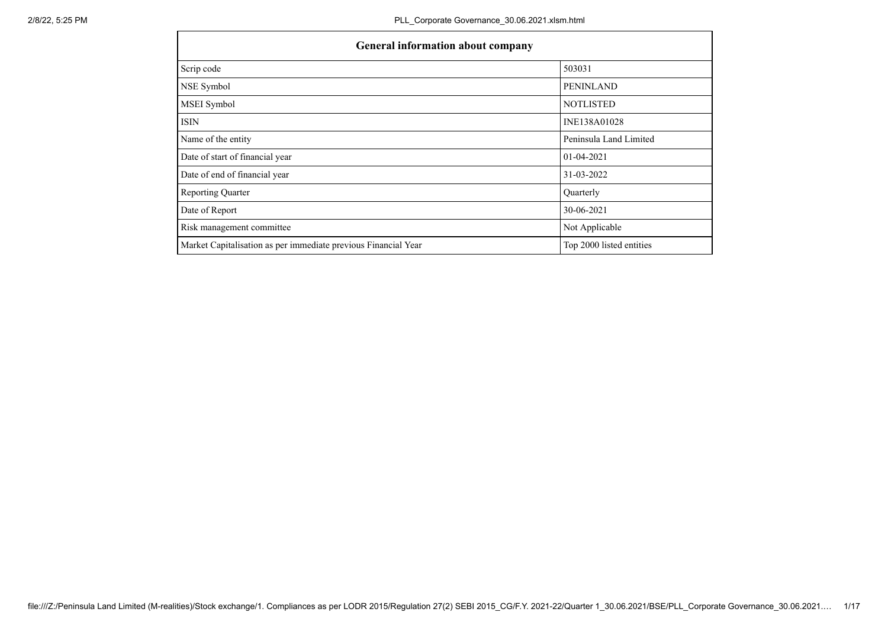| <b>General information about company</b>                       |                          |  |  |  |  |  |  |
|----------------------------------------------------------------|--------------------------|--|--|--|--|--|--|
| Scrip code                                                     | 503031                   |  |  |  |  |  |  |
| NSE Symbol                                                     | <b>PENINLAND</b>         |  |  |  |  |  |  |
| MSEI Symbol                                                    | <b>NOTLISTED</b>         |  |  |  |  |  |  |
| <b>ISIN</b>                                                    | INE138A01028             |  |  |  |  |  |  |
| Name of the entity                                             | Peninsula Land Limited   |  |  |  |  |  |  |
| Date of start of financial year                                | 01-04-2021               |  |  |  |  |  |  |
| Date of end of financial year                                  | 31-03-2022               |  |  |  |  |  |  |
| Reporting Quarter                                              | Quarterly                |  |  |  |  |  |  |
| Date of Report                                                 | 30-06-2021               |  |  |  |  |  |  |
| Risk management committee                                      | Not Applicable           |  |  |  |  |  |  |
| Market Capitalisation as per immediate previous Financial Year | Top 2000 listed entities |  |  |  |  |  |  |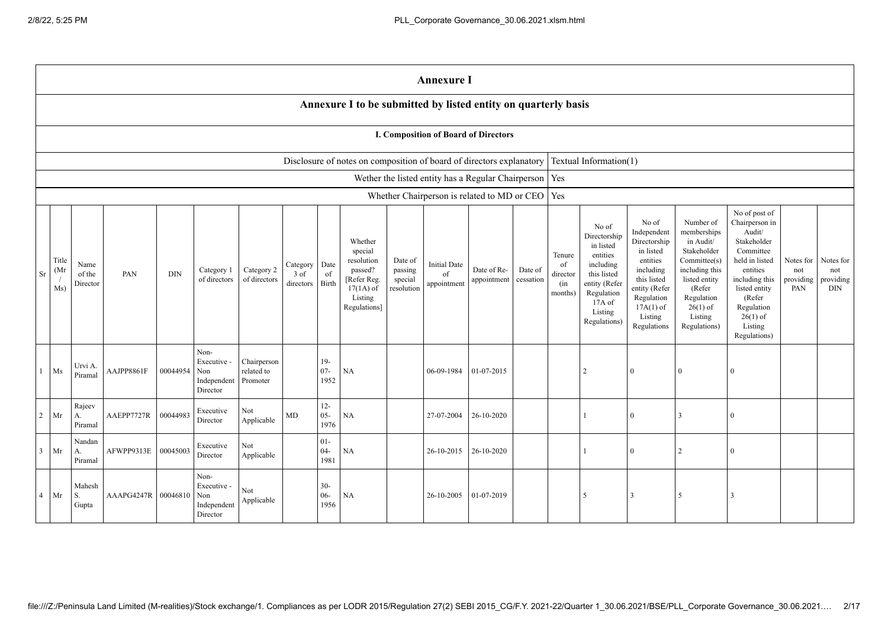|           |                                      |                            |            |            |                                                       |                                       |                                       |                          |                                                                                                      |                                             | <b>Annexure I</b>                                        |                            |                      |                                            |                                                                                                                                                |                                                                                                                                                                   |                                                                                                                                                                          |                                                                                                                                                                                                         |                                      |                                      |
|-----------|--------------------------------------|----------------------------|------------|------------|-------------------------------------------------------|---------------------------------------|---------------------------------------|--------------------------|------------------------------------------------------------------------------------------------------|---------------------------------------------|----------------------------------------------------------|----------------------------|----------------------|--------------------------------------------|------------------------------------------------------------------------------------------------------------------------------------------------|-------------------------------------------------------------------------------------------------------------------------------------------------------------------|--------------------------------------------------------------------------------------------------------------------------------------------------------------------------|---------------------------------------------------------------------------------------------------------------------------------------------------------------------------------------------------------|--------------------------------------|--------------------------------------|
|           |                                      |                            |            |            |                                                       |                                       |                                       |                          | Annexure I to be submitted by listed entity on quarterly basis                                       |                                             |                                                          |                            |                      |                                            |                                                                                                                                                |                                                                                                                                                                   |                                                                                                                                                                          |                                                                                                                                                                                                         |                                      |                                      |
|           | I. Composition of Board of Directors |                            |            |            |                                                       |                                       |                                       |                          |                                                                                                      |                                             |                                                          |                            |                      |                                            |                                                                                                                                                |                                                                                                                                                                   |                                                                                                                                                                          |                                                                                                                                                                                                         |                                      |                                      |
|           |                                      |                            |            |            |                                                       |                                       |                                       |                          | Disclosure of notes on composition of board of directors explanatory                                 |                                             |                                                          |                            |                      |                                            | Textual Information(1)                                                                                                                         |                                                                                                                                                                   |                                                                                                                                                                          |                                                                                                                                                                                                         |                                      |                                      |
|           |                                      |                            |            |            |                                                       |                                       |                                       |                          |                                                                                                      |                                             | Wether the listed entity has a Regular Chairperson   Yes |                            |                      |                                            |                                                                                                                                                |                                                                                                                                                                   |                                                                                                                                                                          |                                                                                                                                                                                                         |                                      |                                      |
|           |                                      |                            |            |            |                                                       |                                       |                                       |                          |                                                                                                      |                                             | Whether Chairperson is related to MD or CEO              |                            |                      | Yes                                        |                                                                                                                                                |                                                                                                                                                                   |                                                                                                                                                                          |                                                                                                                                                                                                         |                                      |                                      |
| <b>Sr</b> | Title<br>(Mr)<br>Ms)                 | Name<br>of the<br>Director | PAN        | <b>DIN</b> | Category 1<br>of directors                            | Category 2<br>of directors            | Category<br>$3$ of<br>directors Birth | Date<br>of               | Whether<br>special<br>resolution<br>passed?<br>[Refer Reg.<br>$17(1A)$ of<br>Listing<br>Regulations] | Date of<br>passing<br>special<br>resolution | <b>Initial Date</b><br>of<br>appointment                 | Date of Re-<br>appointment | Date of<br>cessation | Tenure<br>of<br>director<br>(in<br>months) | No of<br>Directorship<br>in listed<br>entities<br>including<br>this listed<br>entity (Refer<br>Regulation<br>17A of<br>Listing<br>Regulations) | No of<br>Independent<br>Directorship<br>in listed<br>entities<br>including<br>this listed<br>entity (Refer<br>Regulation<br>$17A(1)$ of<br>Listing<br>Regulations | Number of<br>memberships<br>in Audit/<br>Stakeholder<br>Committee(s)<br>including this<br>listed entity<br>(Refer<br>Regulation<br>$26(1)$ of<br>Listing<br>Regulations) | No of post of<br>Chairperson in<br>Audit/<br>Stakeholder<br>Committee<br>held in listed<br>entities<br>including this<br>listed entity<br>(Refer<br>Regulation<br>$26(1)$ of<br>Listing<br>Regulations) | Notes for<br>not<br>providing<br>PAN | Notes for<br>not<br>providing<br>DIN |
|           | Ms                                   | Urvi A.<br>Piramal         | AAJPP8861F | 00044954   | Non-<br>Executive -<br>Non<br>Independent<br>Director | Chairperson<br>related to<br>Promoter |                                       | $19-$<br>$07 -$<br>1952  | NA                                                                                                   |                                             | 06-09-1984                                               | 01-07-2015                 |                      |                                            | $\overline{2}$                                                                                                                                 | $\theta$                                                                                                                                                          | $\Omega$                                                                                                                                                                 | $\Omega$                                                                                                                                                                                                |                                      |                                      |
| 2         | Mr                                   | Rajeev<br>A.<br>Piramal    | AAEPP7727R | 00044983   | Executive<br>Director                                 | Not<br>Applicable                     | MD                                    | $12 -$<br>$05 -$<br>1976 | NA                                                                                                   |                                             | 27-07-2004                                               | 26-10-2020                 |                      |                                            |                                                                                                                                                | $\Omega$                                                                                                                                                          | $\mathbf{R}$                                                                                                                                                             | $\Omega$                                                                                                                                                                                                |                                      |                                      |
| $\cdot$ 3 | Mr                                   | Nandan<br>А.<br>Piramal    | AFWPP9313E | 00045003   | Executive<br>Director                                 | Not<br>Applicable                     |                                       | $01 -$<br>$04 -$<br>1981 | NA                                                                                                   |                                             | 26-10-2015                                               | 26-10-2020                 |                      |                                            |                                                                                                                                                | $\theta$                                                                                                                                                          | $\overline{2}$                                                                                                                                                           | $\theta$                                                                                                                                                                                                |                                      |                                      |
|           | Mr                                   | Mahesh<br>S.<br>Gupta      | AAAPG4247R | 00046810   | Non-<br>Executive -<br>Non<br>Independent<br>Director | Not<br>Applicable                     |                                       | $30 -$<br>$06 -$<br>1956 | NA                                                                                                   |                                             | 26-10-2005                                               | 01-07-2019                 |                      |                                            | .5                                                                                                                                             | 3                                                                                                                                                                 | 5                                                                                                                                                                        | 3                                                                                                                                                                                                       |                                      |                                      |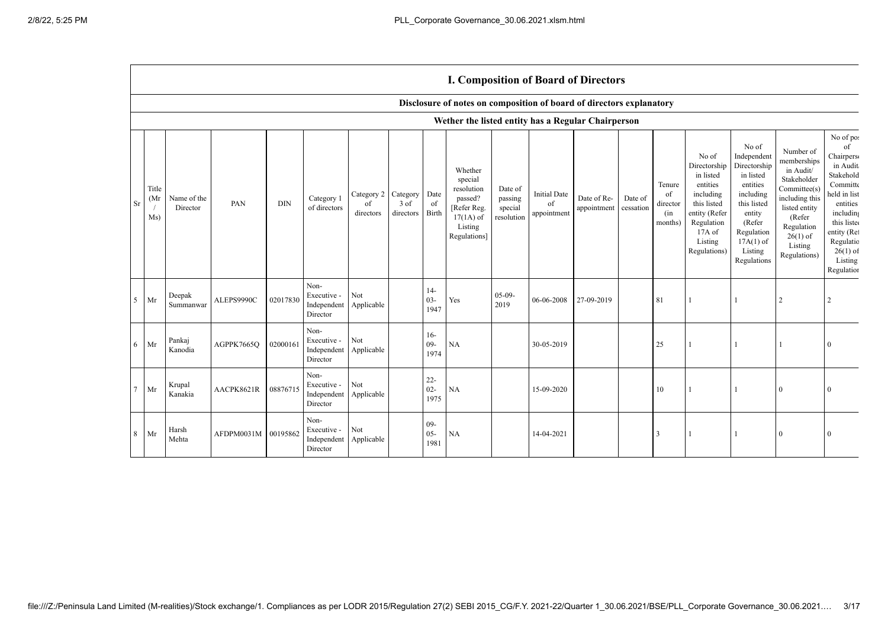|                 |                     |                         |                     |          |                                                |                                        |                   |                          | <b>I. COMPOSITION OF DOATU OF DIFFECTORS</b>                                                         |                                             |                                          |                            |                      |                                            |                                                                                                                                                |                                                                                                                                                                      |                                                                                                                                                                          |                                                                                                                                                                                              |
|-----------------|---------------------|-------------------------|---------------------|----------|------------------------------------------------|----------------------------------------|-------------------|--------------------------|------------------------------------------------------------------------------------------------------|---------------------------------------------|------------------------------------------|----------------------------|----------------------|--------------------------------------------|------------------------------------------------------------------------------------------------------------------------------------------------|----------------------------------------------------------------------------------------------------------------------------------------------------------------------|--------------------------------------------------------------------------------------------------------------------------------------------------------------------------|----------------------------------------------------------------------------------------------------------------------------------------------------------------------------------------------|
|                 |                     |                         |                     |          |                                                |                                        |                   |                          | Disclosure of notes on composition of board of directors explanatory                                 |                                             |                                          |                            |                      |                                            |                                                                                                                                                |                                                                                                                                                                      |                                                                                                                                                                          |                                                                                                                                                                                              |
|                 |                     |                         |                     |          |                                                |                                        |                   |                          | Wether the listed entity has a Regular Chairperson                                                   |                                             |                                          |                            |                      |                                            |                                                                                                                                                |                                                                                                                                                                      |                                                                                                                                                                          |                                                                                                                                                                                              |
| Sr              | Title<br>(Mr<br>Ms) | Name of the<br>Director | PAN                 | DIN      | Category 1<br>of directors                     | Category 2 Category<br>of<br>directors | 3 of<br>directors | Date<br>of<br>Birth      | Whether<br>special<br>resolution<br>passed?<br>[Refer Reg.<br>$17(1A)$ of<br>Listing<br>Regulations] | Date of<br>passing<br>special<br>resolution | <b>Initial Date</b><br>of<br>appointment | Date of Re-<br>appointment | Date of<br>cessation | Tenure<br>of<br>director<br>(in<br>months) | No of<br>Directorship<br>in listed<br>entities<br>including<br>this listed<br>entity (Refer<br>Regulation<br>17A of<br>Listing<br>Regulations) | No of<br>Independent<br>Directorship<br>in listed<br>entities<br>including<br>this listed<br>entity<br>(Refer<br>Regulation<br>$17A(1)$ of<br>Listing<br>Regulations | Number of<br>memberships<br>in Audit/<br>Stakeholder<br>Committee(s)<br>including this<br>listed entity<br>(Refer<br>Regulation<br>$26(1)$ of<br>Listing<br>Regulations) | No of po:<br>of<br>Chairpers<br>in Audit<br>Stakehold<br>Committe<br>held in list<br>entities<br>including<br>this listed<br>entity (Ret<br>Regulatio<br>$26(1)$ of<br>Listing<br>Regulation |
| $\overline{5}$  | Mr                  | Deepak<br>Summanwar     | ALEPS9990C          | 02017830 | Non-<br>Executive -<br>Independent<br>Director | Not<br>Applicable                      |                   | $14-$<br>$03 -$<br>1947  | Yes                                                                                                  | $05-09-$<br>2019                            | 06-06-2008                               | 27-09-2019                 |                      | 81                                         |                                                                                                                                                |                                                                                                                                                                      |                                                                                                                                                                          |                                                                                                                                                                                              |
| 6               | Mr                  | Pankaj<br>Kanodia       | AGPPK7665Q          | 02000161 | Non-<br>Executive -<br>Independent<br>Director | Not<br>Applicable                      |                   | $16-$<br>$09 -$<br>1974  | NA                                                                                                   |                                             | 30-05-2019                               |                            |                      | 25                                         |                                                                                                                                                |                                                                                                                                                                      |                                                                                                                                                                          |                                                                                                                                                                                              |
| $7\phantom{.0}$ | Mr                  | Krupal<br>Kanakia       | AACPK8621R          | 08876715 | Non-<br>Executive -<br>Independent<br>Director | Not<br>Applicable                      |                   | $22 -$<br>$02 -$<br>1975 | NA                                                                                                   |                                             | 15-09-2020                               |                            |                      | 10                                         |                                                                                                                                                |                                                                                                                                                                      | $\Omega$                                                                                                                                                                 |                                                                                                                                                                                              |
| 8               | Mr                  | Harsh<br>Mehta          | AFDPM0031M 00195862 |          | Non-<br>Executive -<br>Independent<br>Director | Not<br>Applicable                      |                   | $09-$<br>$05 -$<br>1981  | NA                                                                                                   |                                             | 14-04-2021                               |                            |                      | 3                                          |                                                                                                                                                |                                                                                                                                                                      | $\Omega$                                                                                                                                                                 |                                                                                                                                                                                              |

## I. Composition of **Board** of Direct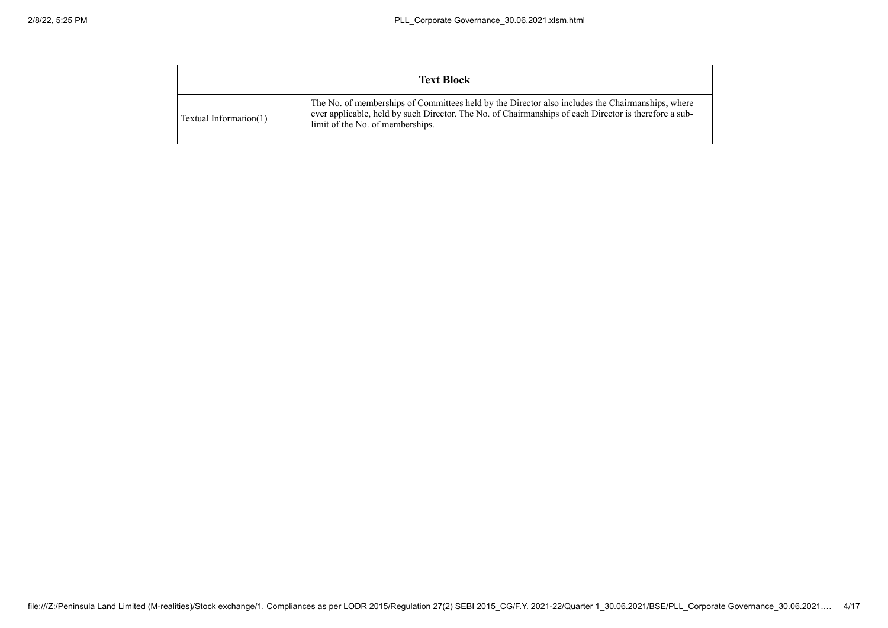|                        | <b>Text Block</b>                                                                                                                                                                                                                              |
|------------------------|------------------------------------------------------------------------------------------------------------------------------------------------------------------------------------------------------------------------------------------------|
| Textual Information(1) | The No. of memberships of Committees held by the Director also includes the Chairman ships, where<br>ever applicable, held by such Director. The No. of Chairmanships of each Director is therefore a sub-<br>limit of the No. of memberships. |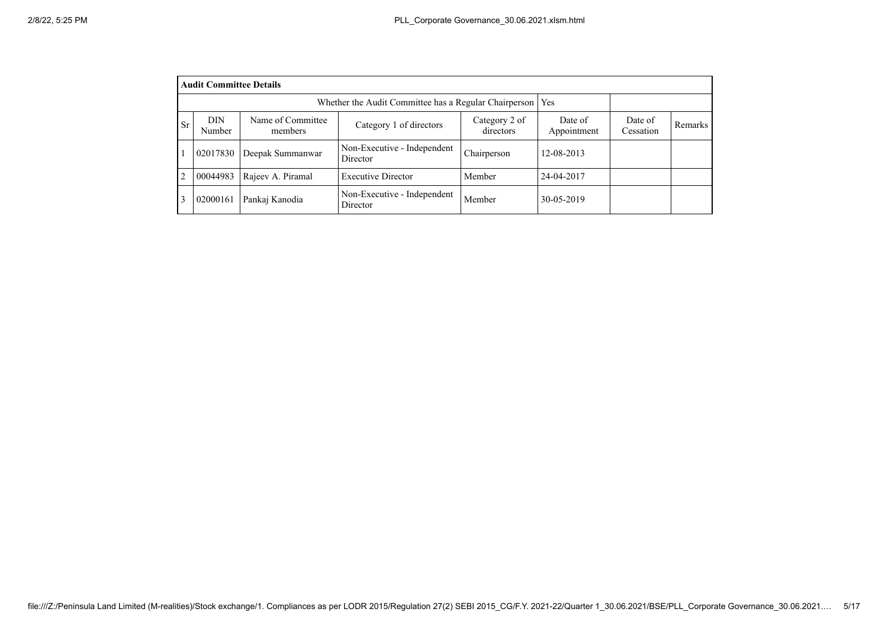|           | <b>Audit Committee Details</b>                                                                                                                                             |                   |                                         |             |            |  |  |  |  |  |  |
|-----------|----------------------------------------------------------------------------------------------------------------------------------------------------------------------------|-------------------|-----------------------------------------|-------------|------------|--|--|--|--|--|--|
|           | Whether the Audit Committee has a Regular Chairperson<br><b>Yes</b>                                                                                                        |                   |                                         |             |            |  |  |  |  |  |  |
| <b>Sr</b> | Name of Committee<br><b>DIN</b><br>Date of<br>Date of<br>Category 2 of<br>Category 1 of directors<br>Remarks<br>directors<br>Number<br>Appointment<br>Cessation<br>members |                   |                                         |             |            |  |  |  |  |  |  |
|           | 02017830                                                                                                                                                                   | Deepak Summanwar  | Non-Executive - Independent<br>Director | Chairperson | 12-08-2013 |  |  |  |  |  |  |
| 2         | 00044983                                                                                                                                                                   | Rajeev A. Piramal | <b>Executive Director</b>               | Member      | 24-04-2017 |  |  |  |  |  |  |
| 3         | 02000161                                                                                                                                                                   | Pankaj Kanodia    | Non-Executive - Independent<br>Director | Member      | 30-05-2019 |  |  |  |  |  |  |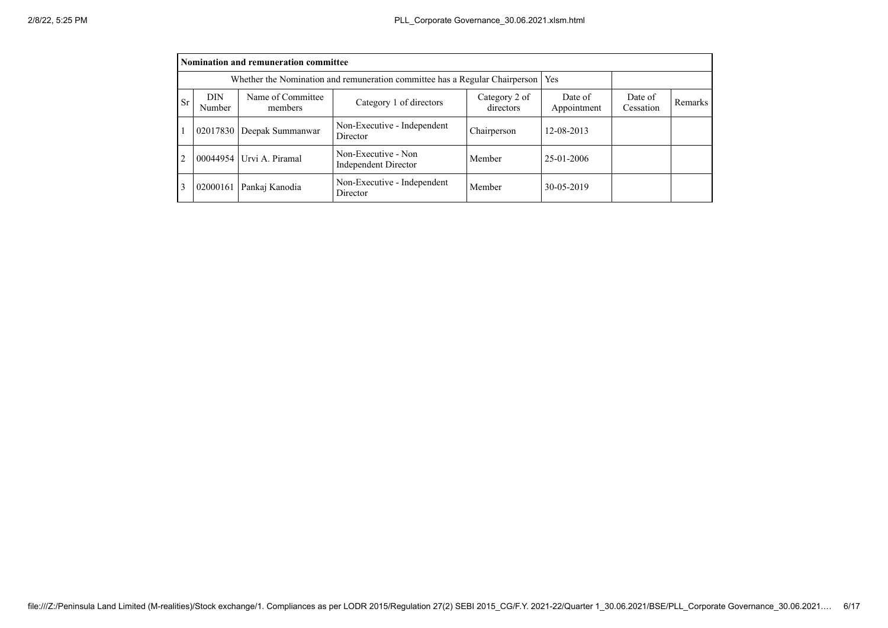|                |                                                                                                                                                                            | Nomination and remuneration committee |                                             |             |            |  |  |  |  |  |  |
|----------------|----------------------------------------------------------------------------------------------------------------------------------------------------------------------------|---------------------------------------|---------------------------------------------|-------------|------------|--|--|--|--|--|--|
|                | Whether the Nomination and remuneration committee has a Regular Chairperson   Yes                                                                                          |                                       |                                             |             |            |  |  |  |  |  |  |
| Sr             | Name of Committee<br>Date of<br>Date of<br><b>DIN</b><br>Category 2 of<br>Category 1 of directors<br>Remarks<br>directors<br>Appointment<br>Cessation<br>Number<br>members |                                       |                                             |             |            |  |  |  |  |  |  |
|                |                                                                                                                                                                            | 02017830 Deepak Summanwar             | Non-Executive - Independent<br>Director     | Chairperson | 12-08-2013 |  |  |  |  |  |  |
| $\overline{2}$ |                                                                                                                                                                            | 00044954 Urvi A. Piramal              | Non-Executive - Non<br>Independent Director | Member      | 25-01-2006 |  |  |  |  |  |  |
| 3              | 02000161                                                                                                                                                                   | Pankaj Kanodia                        | Non-Executive - Independent<br>Director     | Member      | 30-05-2019 |  |  |  |  |  |  |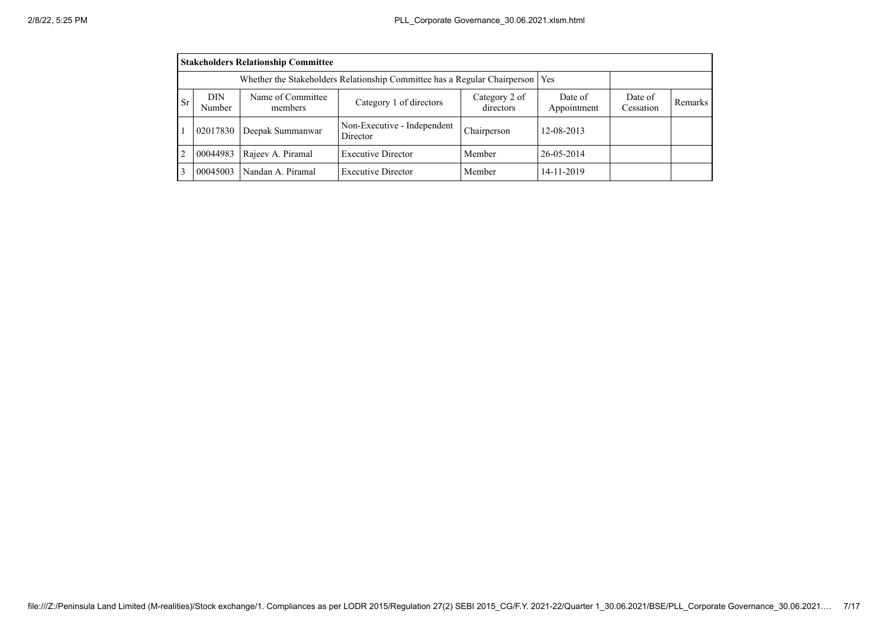|                                                                                         |                                                                                                                                                                     | <b>Stakeholders Relationship Committee</b> |                                         |             |            |  |  |  |  |  |  |
|-----------------------------------------------------------------------------------------|---------------------------------------------------------------------------------------------------------------------------------------------------------------------|--------------------------------------------|-----------------------------------------|-------------|------------|--|--|--|--|--|--|
|                                                                                         | Whether the Stakeholders Relationship Committee has a Regular Chairperson   Yes                                                                                     |                                            |                                         |             |            |  |  |  |  |  |  |
| <b>Sr</b>                                                                               | Name of Committee<br>DIN<br>Category 2 of<br>Date of<br>Date of<br>Category 1 of directors<br>Remarks<br>directors<br>Appointment<br>Cessation<br>Number<br>members |                                            |                                         |             |            |  |  |  |  |  |  |
|                                                                                         | 02017830                                                                                                                                                            | Deepak Summanwar                           | Non-Executive - Independent<br>Director | Chairperson | 12-08-2013 |  |  |  |  |  |  |
| $\overline{2}$                                                                          | <b>Executive Director</b><br>Member<br>00044983<br>Rajeev A. Piramal<br>26-05-2014                                                                                  |                                            |                                         |             |            |  |  |  |  |  |  |
| Nandan A. Piramal<br><b>Executive Director</b><br>Member<br>3<br>00045003<br>14-11-2019 |                                                                                                                                                                     |                                            |                                         |             |            |  |  |  |  |  |  |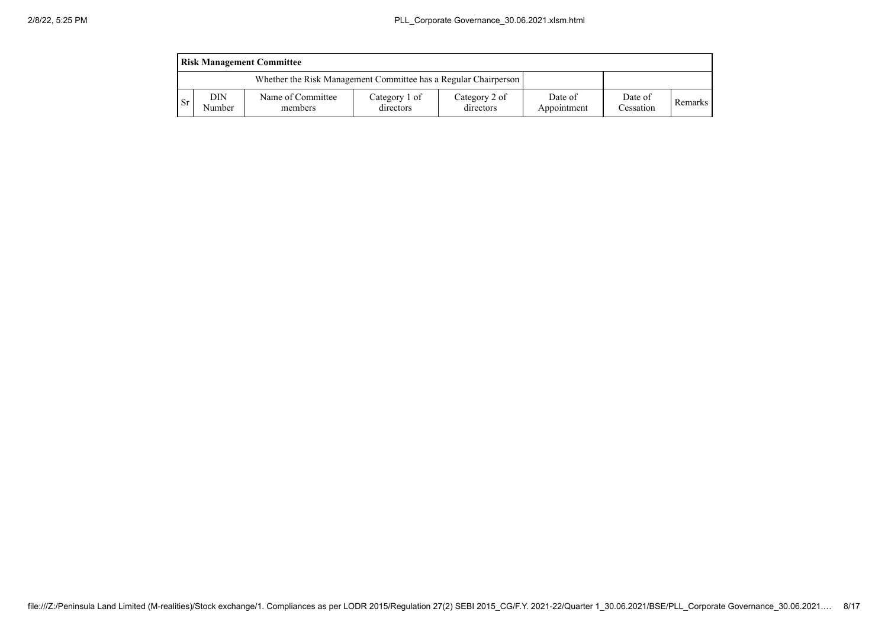|     | <b>Risk Management Committee</b>                                |                              |                            |                            |                        |                      |                |  |  |  |  |  |
|-----|-----------------------------------------------------------------|------------------------------|----------------------------|----------------------------|------------------------|----------------------|----------------|--|--|--|--|--|
|     | Whether the Risk Management Committee has a Regular Chairperson |                              |                            |                            |                        |                      |                |  |  |  |  |  |
| -Sr | DIN<br>Number                                                   | Name of Committee<br>members | Category 1 of<br>directors | Category 2 of<br>directors | Date of<br>Appointment | Date of<br>Cessation | <b>Remarks</b> |  |  |  |  |  |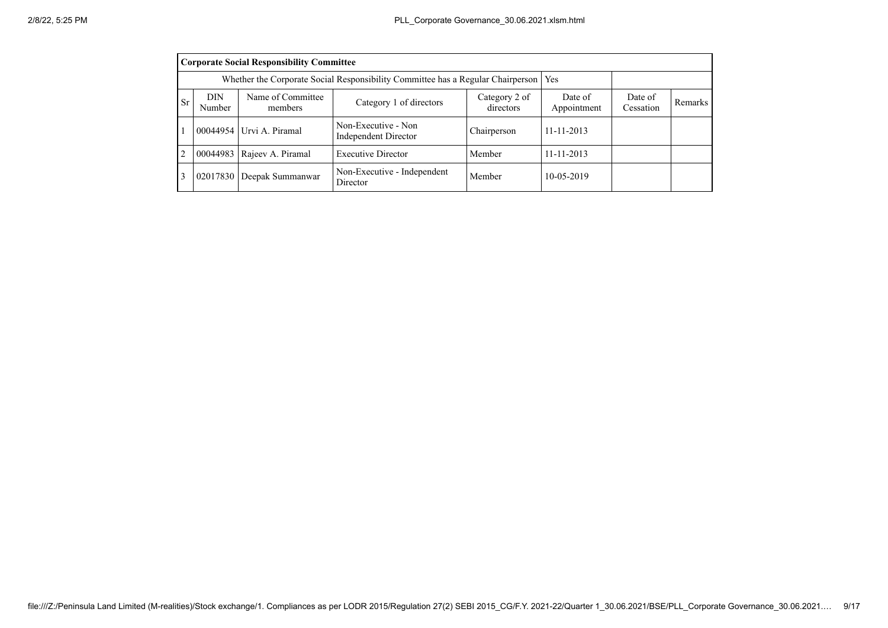|                | <b>Corporate Social Responsibility Committee</b>                                                                                                                           |                   |                                             |             |                  |  |  |  |  |  |  |
|----------------|----------------------------------------------------------------------------------------------------------------------------------------------------------------------------|-------------------|---------------------------------------------|-------------|------------------|--|--|--|--|--|--|
|                | Whether the Corporate Social Responsibility Committee has a Regular Chairperson<br>Yes                                                                                     |                   |                                             |             |                  |  |  |  |  |  |  |
| Sr             | Name of Committee<br><b>DIN</b><br>Category 2 of<br>Date of<br>Date of<br>Category 1 of directors<br>Remarks<br>Appointment<br>directors<br>Number<br>Cessation<br>members |                   |                                             |             |                  |  |  |  |  |  |  |
|                | 00044954                                                                                                                                                                   | Urvi A. Piramal   | Non-Executive - Non<br>Independent Director | Chairperson | $11 - 11 - 2013$ |  |  |  |  |  |  |
| $\overline{2}$ | 00044983                                                                                                                                                                   | Rajeev A. Piramal | <b>Executive Director</b>                   | Member      | $11 - 11 - 2013$ |  |  |  |  |  |  |
| 3              | 02017830                                                                                                                                                                   | Deepak Summanwar  | Non-Executive - Independent<br>Director     | Member      | 10-05-2019       |  |  |  |  |  |  |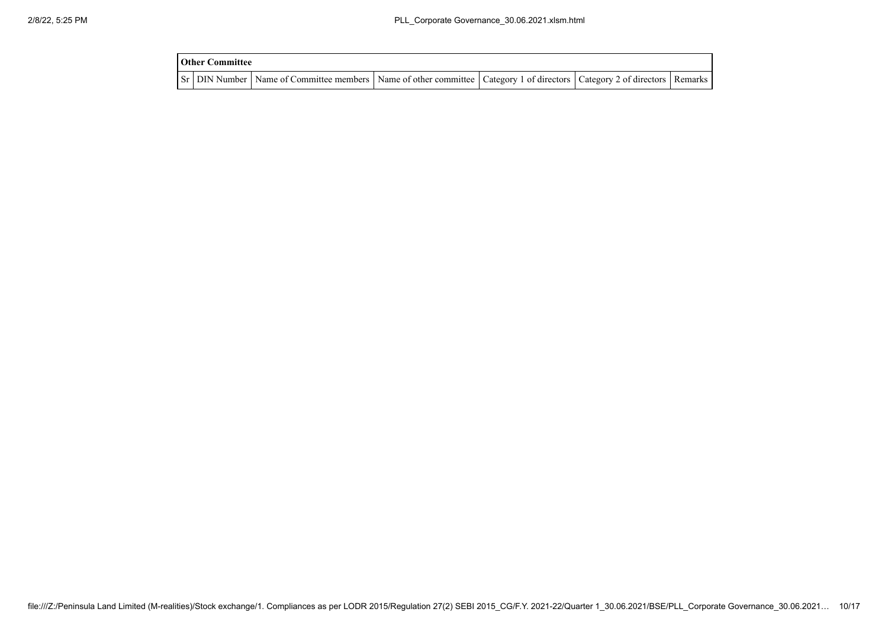| <b>Other Committee</b> |                                                                                                                                     |  |  |  |  |  |  |  |
|------------------------|-------------------------------------------------------------------------------------------------------------------------------------|--|--|--|--|--|--|--|
|                        | Sr   DIN Number   Name of Committee members   Name of other committee   Category 1 of directors   Category 2 of directors   Remarks |  |  |  |  |  |  |  |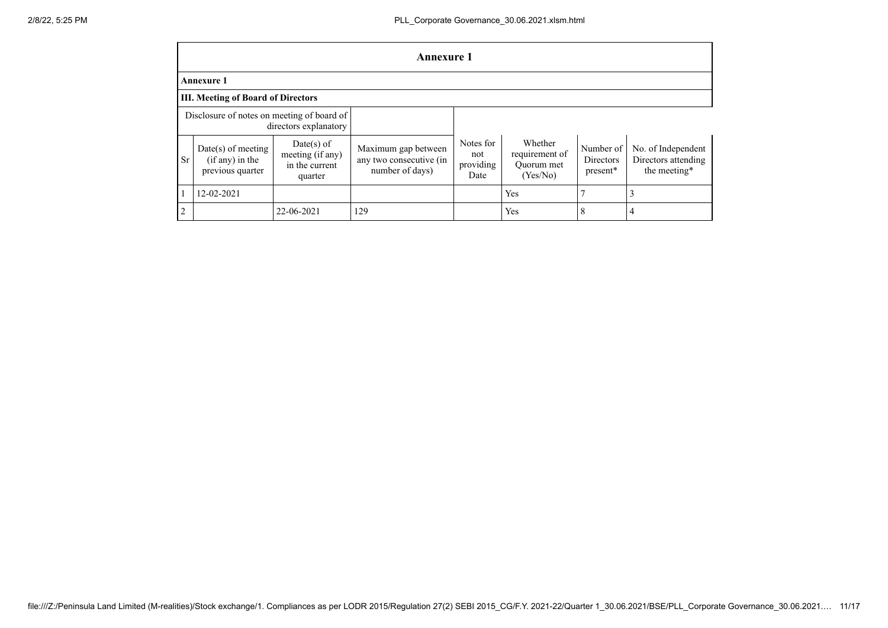|                                           | Annexure 1                                                          |                                                             |                                                                   |                                       |                                                     |                                    |                                                           |  |  |  |  |
|-------------------------------------------|---------------------------------------------------------------------|-------------------------------------------------------------|-------------------------------------------------------------------|---------------------------------------|-----------------------------------------------------|------------------------------------|-----------------------------------------------------------|--|--|--|--|
|                                           | <b>Annexure 1</b>                                                   |                                                             |                                                                   |                                       |                                                     |                                    |                                                           |  |  |  |  |
| <b>III. Meeting of Board of Directors</b> |                                                                     |                                                             |                                                                   |                                       |                                                     |                                    |                                                           |  |  |  |  |
|                                           | Disclosure of notes on meeting of board of<br>directors explanatory |                                                             |                                                                   |                                       |                                                     |                                    |                                                           |  |  |  |  |
| <b>Sr</b>                                 | $Date(s)$ of meeting<br>$(if any)$ in the<br>previous quarter       | Date(s) of<br>meeting (if any)<br>in the current<br>quarter | Maximum gap between<br>any two consecutive (in<br>number of days) | Notes for<br>not<br>providing<br>Date | Whether<br>requirement of<br>Ouorum met<br>(Yes/No) | Number of<br>Directors<br>present* | No. of Independent<br>Directors attending<br>the meeting* |  |  |  |  |
|                                           | 12-02-2021                                                          |                                                             |                                                                   |                                       | Yes                                                 |                                    |                                                           |  |  |  |  |
| 2                                         |                                                                     | 22-06-2021                                                  | 129                                                               |                                       | Yes                                                 | 8                                  |                                                           |  |  |  |  |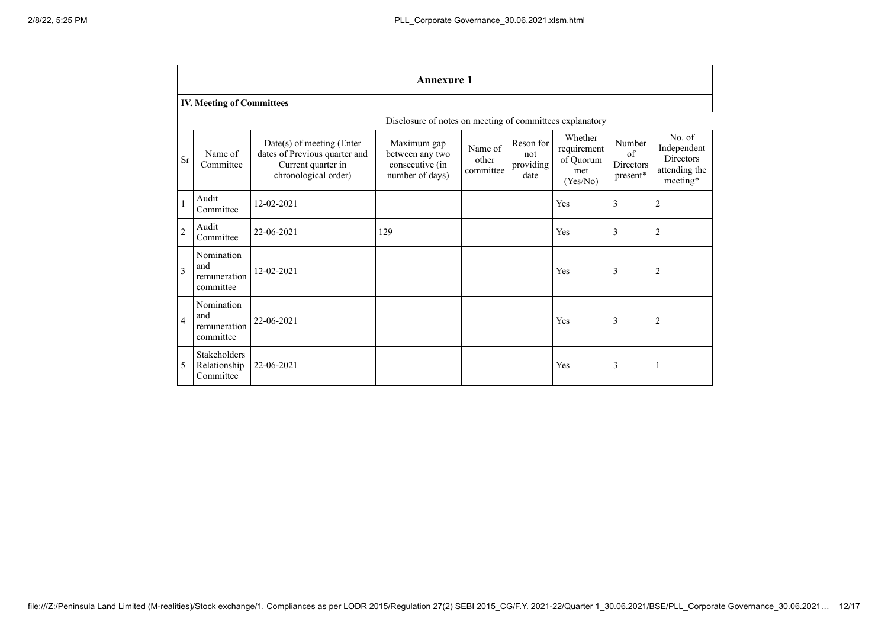|                | <b>Annexure 1</b>                              |                                                                                                          |                                                                      |                               |                                       |                                                        |                                                                       |                                                                        |  |  |
|----------------|------------------------------------------------|----------------------------------------------------------------------------------------------------------|----------------------------------------------------------------------|-------------------------------|---------------------------------------|--------------------------------------------------------|-----------------------------------------------------------------------|------------------------------------------------------------------------|--|--|
|                | <b>IV. Meeting of Committees</b>               |                                                                                                          |                                                                      |                               |                                       |                                                        |                                                                       |                                                                        |  |  |
|                |                                                |                                                                                                          | Disclosure of notes on meeting of committees explanatory             |                               |                                       |                                                        |                                                                       |                                                                        |  |  |
| Sr             | Name of<br>Committee                           | Date(s) of meeting (Enter<br>dates of Previous quarter and<br>Current quarter in<br>chronological order) | Maximum gap<br>between any two<br>consecutive (in<br>number of days) | Name of<br>other<br>committee | Reson for<br>not<br>providing<br>date | Whether<br>requirement<br>of Quorum<br>met<br>(Yes/No) | Number<br>of<br>Directors<br>$\mathop{\mathrm{present}}\nolimits^{*}$ | No. of<br>Independent<br><b>Directors</b><br>attending the<br>meeting* |  |  |
| $\mathbf{1}$   | Audit<br>Committee                             | 12-02-2021                                                                                               |                                                                      |                               |                                       | Yes                                                    | 3                                                                     | $\overline{2}$                                                         |  |  |
| $\overline{2}$ | Audit<br>Committee                             | 22-06-2021                                                                                               | 129                                                                  |                               |                                       | Yes                                                    | 3                                                                     | $\overline{2}$                                                         |  |  |
| 3              | Nomination<br>and<br>remuneration<br>committee | 12-02-2021                                                                                               |                                                                      |                               |                                       | Yes                                                    | 3                                                                     | $\overline{2}$                                                         |  |  |
| $\overline{4}$ | Nomination<br>and<br>remuneration<br>committee | 22-06-2021                                                                                               |                                                                      |                               |                                       | Yes                                                    | 3                                                                     | $\overline{2}$                                                         |  |  |
| 5              | Stakeholders<br>Relationship<br>Committee      | 22-06-2021                                                                                               |                                                                      |                               |                                       | Yes                                                    | 3                                                                     |                                                                        |  |  |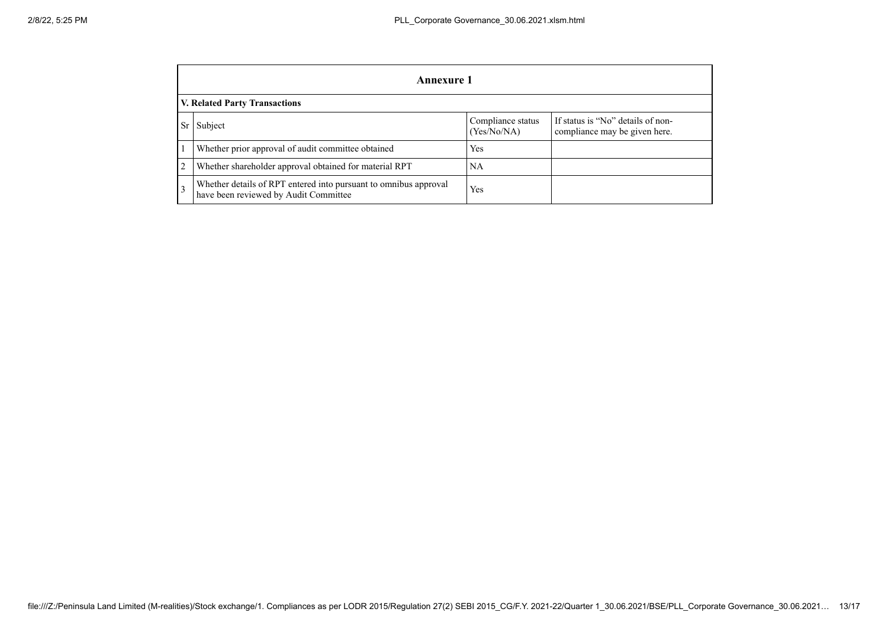|                                      | Annexure 1                                                                                                |                                  |                                                                    |  |  |  |
|--------------------------------------|-----------------------------------------------------------------------------------------------------------|----------------------------------|--------------------------------------------------------------------|--|--|--|
| <b>V. Related Party Transactions</b> |                                                                                                           |                                  |                                                                    |  |  |  |
| Sr                                   | Subject                                                                                                   | Compliance status<br>(Yes/No/NA) | If status is "No" details of non-<br>compliance may be given here. |  |  |  |
|                                      | Whether prior approval of audit committee obtained                                                        | Yes                              |                                                                    |  |  |  |
| 2                                    | Whether shareholder approval obtained for material RPT                                                    | NA                               |                                                                    |  |  |  |
| $\mathcal{R}$                        | Whether details of RPT entered into pursuant to omnibus approval<br>have been reviewed by Audit Committee | Yes                              |                                                                    |  |  |  |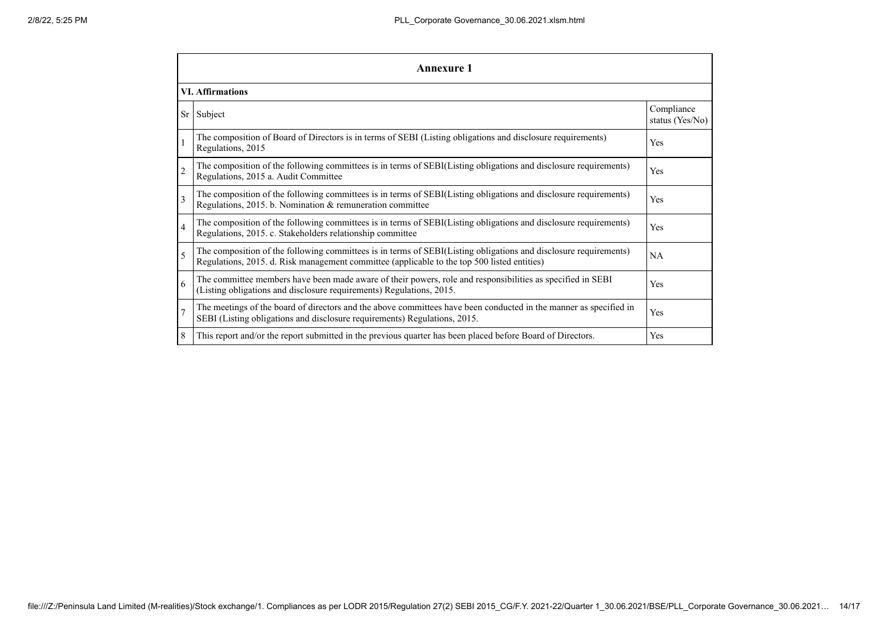| Annexure 1               |                                                                                                                                                                                                                 |                               |  |  |  |
|--------------------------|-----------------------------------------------------------------------------------------------------------------------------------------------------------------------------------------------------------------|-------------------------------|--|--|--|
| <b>VI. Affirmations</b>  |                                                                                                                                                                                                                 |                               |  |  |  |
| Sr                       | Subject                                                                                                                                                                                                         | Compliance<br>status (Yes/No) |  |  |  |
| $\mathbf{1}$             | The composition of Board of Directors is in terms of SEBI (Listing obligations and disclosure requirements)<br>Regulations, 2015                                                                                | Yes                           |  |  |  |
| $\overline{2}$           | The composition of the following committees is in terms of SEBI(Listing obligations and disclosure requirements)<br>Regulations, 2015 a. Audit Committee                                                        | <b>Yes</b>                    |  |  |  |
| 3                        | The composition of the following committees is in terms of SEBI(Listing obligations and disclosure requirements)<br>Regulations, 2015. b. Nomination & remuneration committee                                   | Yes                           |  |  |  |
| $\overline{4}$           | The composition of the following committees is in terms of SEBI(Listing obligations and disclosure requirements)<br>Regulations, 2015. c. Stakeholders relationship committee                                   | Yes                           |  |  |  |
| $\overline{\mathcal{L}}$ | The composition of the following committees is in terms of SEBI(Listing obligations and disclosure requirements)<br>Regulations, 2015. d. Risk management committee (applicable to the top 500 listed entities) | NA                            |  |  |  |
| 6                        | The committee members have been made aware of their powers, role and responsibilities as specified in SEBI<br>(Listing obligations and disclosure requirements) Regulations, 2015.                              | Yes                           |  |  |  |
| $\overline{7}$           | The meetings of the board of directors and the above committees have been conducted in the manner as specified in<br>SEBI (Listing obligations and disclosure requirements) Regulations, 2015.                  | Yes                           |  |  |  |
| 8                        | This report and/or the report submitted in the previous quarter has been placed before Board of Directors.                                                                                                      | Yes                           |  |  |  |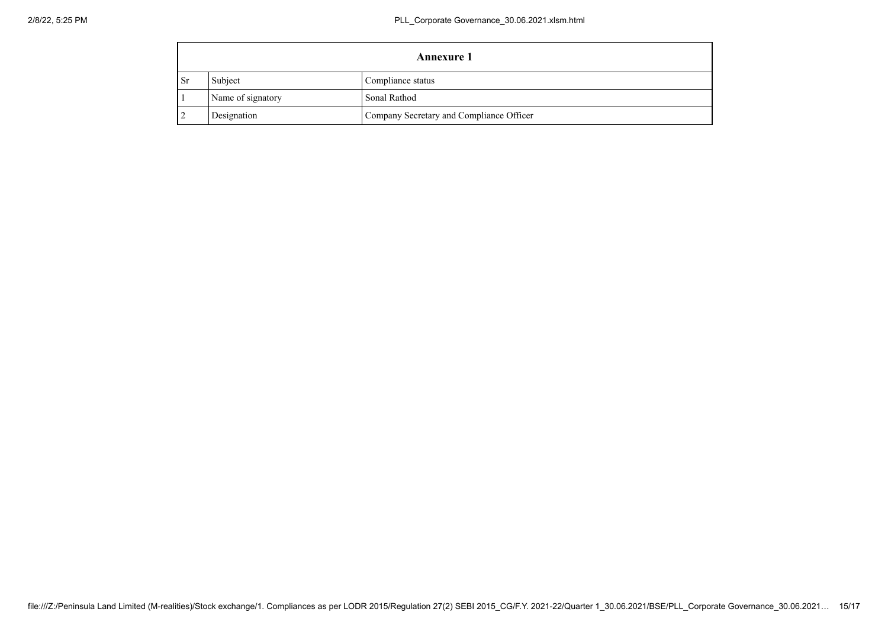| <b>Annexure 1</b> |                   |                                          |  |  |
|-------------------|-------------------|------------------------------------------|--|--|
| <sub>Sr</sub>     | Subject           | Compliance status                        |  |  |
|                   | Name of signatory | Sonal Rathod                             |  |  |
|                   | Designation       | Company Secretary and Compliance Officer |  |  |